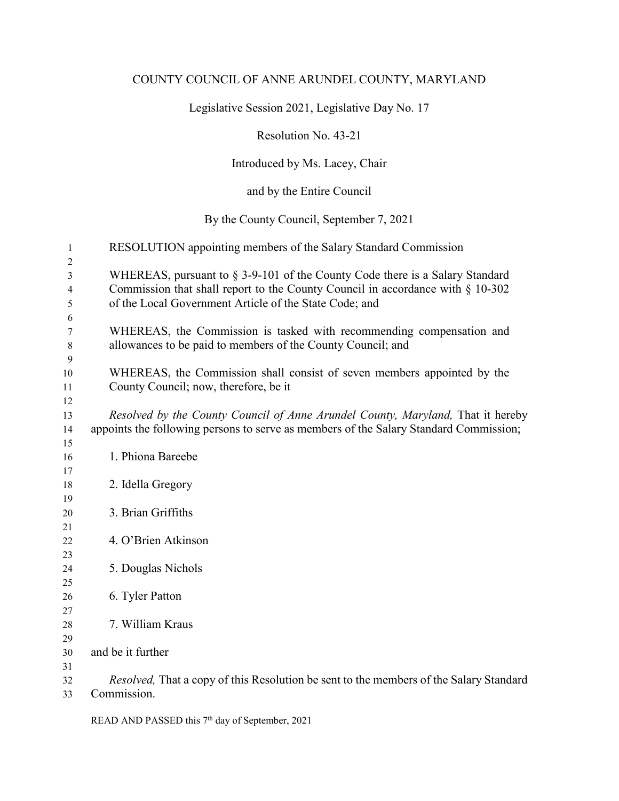## COUNTY COUNCIL OF ANNE ARUNDEL COUNTY, MARYLAND

Legislative Session 2021, Legislative Day No. 17

Resolution No. 43-21

Introduced by Ms. Lacey, Chair

and by the Entire Council

By the County Council, September 7, 2021

| 1              | RESOLUTION appointing members of the Salary Standard Commission                                                                     |
|----------------|-------------------------------------------------------------------------------------------------------------------------------------|
| $\overline{c}$ |                                                                                                                                     |
| 3              | WHEREAS, pursuant to $\S$ 3-9-101 of the County Code there is a Salary Standard                                                     |
| 4              | Commission that shall report to the County Council in accordance with $\S$ 10-302                                                   |
| 5              | of the Local Government Article of the State Code; and                                                                              |
| 6              |                                                                                                                                     |
| 7              | WHEREAS, the Commission is tasked with recommending compensation and<br>allowances to be paid to members of the County Council; and |
| 8<br>9         |                                                                                                                                     |
| 10             | WHEREAS, the Commission shall consist of seven members appointed by the                                                             |
| 11             | County Council; now, therefore, be it                                                                                               |
| 12             |                                                                                                                                     |
| 13             | Resolved by the County Council of Anne Arundel County, Maryland, That it hereby                                                     |
| 14             | appoints the following persons to serve as members of the Salary Standard Commission;                                               |
| 15             |                                                                                                                                     |
| 16             | 1. Phiona Bareebe                                                                                                                   |
| 17             |                                                                                                                                     |
| 18             | 2. Idella Gregory                                                                                                                   |
| 19             |                                                                                                                                     |
| 20             | 3. Brian Griffiths                                                                                                                  |
| 21             | 4. O'Brien Atkinson                                                                                                                 |
| 22<br>23       |                                                                                                                                     |
| 24             | 5. Douglas Nichols                                                                                                                  |
| 25             |                                                                                                                                     |
| 26             | 6. Tyler Patton                                                                                                                     |
| 27             |                                                                                                                                     |
| 28             | 7. William Kraus                                                                                                                    |
| 29             |                                                                                                                                     |
| 30             | and be it further                                                                                                                   |
| 31             |                                                                                                                                     |
| 32             | Resolved, That a copy of this Resolution be sent to the members of the Salary Standard                                              |
| 33             | Commission.                                                                                                                         |

READ AND PASSED this 7<sup>th</sup> day of September, 2021